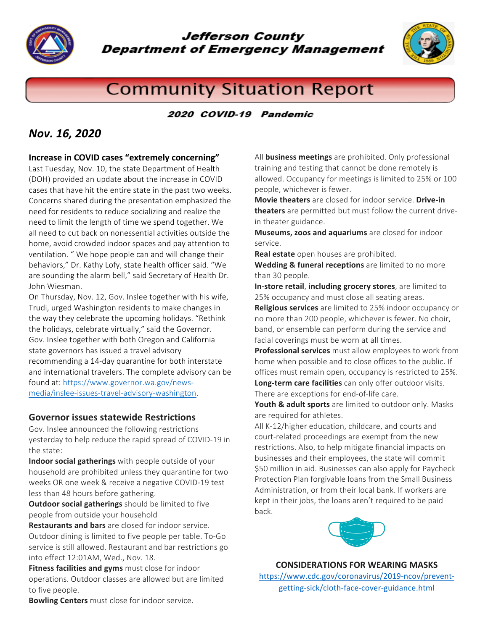

**Jefferson County Department of Emergency Management** 



# **Community Situation Report**

#### 2020 COVID-19 Pandemic

## *Nov. 16, 2020*

#### **Increase in COVID cases "extremely concerning"**

Last Tuesday, Nov. 10, the state Department of Health (DOH) provided an update about the increase in COVID cases that have hit the entire state in the past two weeks. Concerns shared during the presentation emphasized the need for residents to reduce socializing and realize the need to limit the length of time we spend together. We all need to cut back on nonessential activities outside the home, avoid crowded indoor spaces and pay attention to ventilation. " We hope people can and will change their behaviors," Dr. Kathy Lofy, state health officer said. "We are sounding the alarm bell," said Secretary of Health Dr. John Wiesman.

On Thursday, Nov. 12, Gov. Inslee together with his wife, Trudi, urged Washington residents to make changes in the way they celebrate the upcoming holidays. "Rethink the holidays, celebrate virtually," said the Governor. Gov. Inslee together with both Oregon and California state governors has issued a travel advisory recommending a 14-day quarantine for both interstate and international travelers. The complete advisory can be found at: https://www.governor.wa.gov/newsmedia/inslee-issues-travel-advisory-washington.

#### **Governor issues statewide Restrictions**

Gov. Inslee announced the following restrictions yesterday to help reduce the rapid spread of COVID-19 in the state:

**Indoor social gatherings** with people outside of your household are prohibited unless they quarantine for two weeks OR one week & receive a negative COVID-19 test less than 48 hours before gathering.

**Outdoor social gatherings** should be limited to five people from outside your household

**Restaurants and bars** are closed for indoor service. Outdoor dining is limited to five people per table. To-Go service is still allowed. Restaurant and bar restrictions go into effect 12:01AM, Wed., Nov. 18.

**Fitness facilities and gyms** must close for indoor operations. Outdoor classes are allowed but are limited to five people.

All **business meetings** are prohibited. Only professional training and testing that cannot be done remotely is allowed. Occupancy for meetings is limited to 25% or 100 people, whichever is fewer.

**Movie theaters** are closed for indoor service. **Drive-in theaters** are permitted but must follow the current drivein theater guidance.

**Museums, zoos and aquariums** are closed for indoor service.

**Real estate** open houses are prohibited.

**Wedding & funeral receptions** are limited to no more than 30 people.

**In-store retail, including grocery stores**, are limited to 25% occupancy and must close all seating areas.

**Religious services** are limited to 25% indoor occupancy or no more than 200 people, whichever is fewer. No choir, band, or ensemble can perform during the service and facial coverings must be worn at all times.

**Professional services** must allow employees to work from home when possible and to close offices to the public. If offices must remain open, occupancy is restricted to 25%. **Long-term care facilities** can only offer outdoor visits. There are exceptions for end-of-life care.

**Youth & adult sports** are limited to outdoor only. Masks are required for athletes.

All K-12/higher education, childcare, and courts and court-related proceedings are exempt from the new restrictions. Also, to help mitigate financial impacts on businesses and their employees, the state will commit \$50 million in aid. Businesses can also apply for Paycheck Protection Plan forgivable loans from the Small Business Administration, or from their local bank. If workers are kept in their jobs, the loans aren't required to be paid back.



#### **CONSIDERATIONS FOR WEARING MASKS**

https://www.cdc.gov/coronavirus/2019-ncov/preventgetting-sick/cloth-face-cover-guidance.html

**Bowling Centers** must close for indoor service.